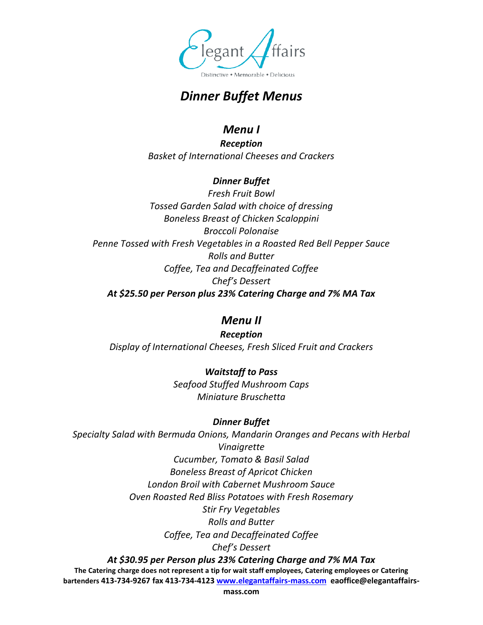

# *Dinner Buffet Menus*

### *Menu I*

*Reception Basket of International Cheeses and Crackers*

### *Dinner Buffet*

*Fresh Fruit Bowl Tossed Garden Salad with choice of dressing Boneless Breast of Chicken Scaloppini Broccoli Polonaise Penne Tossed with Fresh Vegetables in a Roasted Red Bell Pepper Sauce Rolls and Butter Coffee, Tea and Decaffeinated Coffee Chef's Dessert At \$25.50 per Person plus 23% Catering Charge and 7% MA Tax*

### *Menu II*

*Reception Display of International Cheeses, Fresh Sliced Fruit and Crackers*

> *Waitstaff to Pass Seafood Stuffed Mushroom Caps Miniature Bruschetta*

### *Dinner Buffet*

**The Catering charge does not represent a tip for wait staff employees, Catering employees or Catering bartenders 413-734-9267 fax 413-734-4123 www.elegantaffairs-mass.com eaoffice@elegantaffairs-***Specialty Salad with Bermuda Onions, Mandarin Oranges and Pecans with Herbal Vinaigrette Cucumber, Tomato & Basil Salad Boneless Breast of Apricot Chicken London Broil with Cabernet Mushroom Sauce Oven Roasted Red Bliss Potatoes with Fresh Rosemary Stir Fry Vegetables Rolls and Butter Coffee, Tea and Decaffeinated Coffee Chef's Dessert At \$30.95 per Person plus 23% Catering Charge and 7% MA Tax*